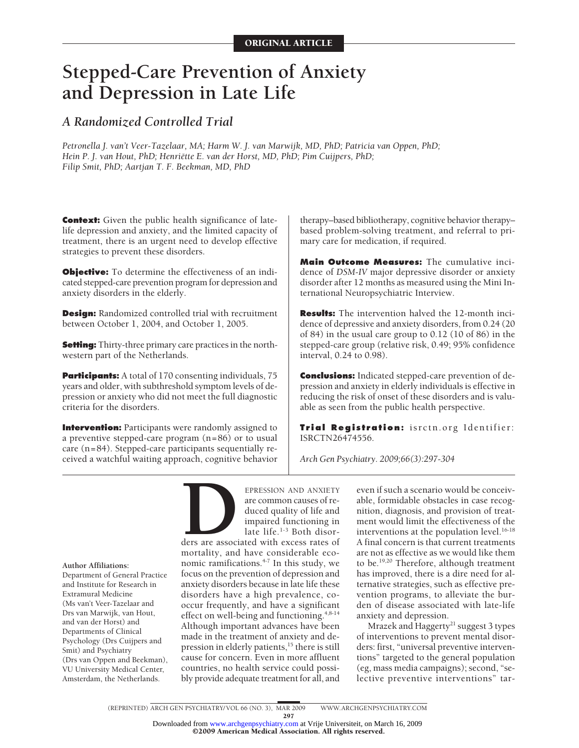# **Stepped-Care Prevention of Anxiety and Depression in Late Life**

## *A Randomized Controlled Trial*

*Petronella J. van't Veer-Tazelaar, MA; Harm W. J. van Marwijk, MD, PhD; Patricia van Oppen, PhD; Hein P. J. van Hout, PhD; Henriëtte E. van der Horst, MD, PhD; Pim Cuijpers, PhD; Filip Smit, PhD; Aartjan T. F. Beekman, MD, PhD*

**Context:** Given the public health significance of latelife depression and anxiety, and the limited capacity of treatment, there is an urgent need to develop effective strategies to prevent these disorders.

**Objective:** To determine the effectiveness of an indicated stepped-care prevention program for depression and anxiety disorders in the elderly.

**Design:** Randomized controlled trial with recruitment between October 1, 2004, and October 1, 2005.

**Setting:** Thirty-three primary care practices in the northwestern part of the Netherlands.

**Participants:** A total of 170 consenting individuals, 75 years and older, with subthreshold symptom levels of depression or anxiety who did not meet the full diagnostic criteria for the disorders.

**Intervention:** Participants were randomly assigned to a preventive stepped-care program (n=86) or to usual care (n=84). Stepped-care participants sequentially received a watchful waiting approach, cognitive behavior

therapy–based bibliotherapy, cognitive behavior therapy– based problem-solving treatment, and referral to primary care for medication, if required.

**Main Outcome Measures:** The cumulative incidence of *DSM-IV* major depressive disorder or anxiety disorder after 12 months as measured using the Mini International Neuropsychiatric Interview.

**Results:** The intervention halved the 12-month incidence of depressive and anxiety disorders, from 0.24 (20 of 84) in the usual care group to 0.12 (10 of 86) in the stepped-care group (relative risk, 0.49; 95% confidence interval, 0.24 to 0.98).

**Conclusions:** Indicated stepped-care prevention of depression and anxiety in elderly individuals is effective in reducing the risk of onset of these disorders and is valuable as seen from the public health perspective.

**Trial Registration:** isrctn.org Identifier: ISRCTN26474556.

*Arch Gen Psychiatry. 2009;66(3):297-304*

**Author Affiliations:**

Department of General Practice and Institute for Research in Extramural Medicine (Ms van't Veer-Tazelaar and Drs van Marwijk, van Hout, and van der Horst) and Departments of Clinical Psychology (Drs Cuijpers and Smit) and Psychiatry (Drs van Oppen and Beekman), VU University Medical Center, Amsterdam, the Netherlands.



EPRESSION AND ANXIETY<br>are common causes of re-<br>duced quality of life and<br>impaired functioning in<br>late life.<sup>1-3</sup> Both disor-<br>ders are associated with excess rates of<br>mortality, and have considerable ecoare common causes of reduced quality of life and impaired functioning in late life.<sup>1-3</sup> Both disor-

ders are associated with excess rates of mortality, and have considerable economic ramifications.<sup>4-7</sup> In this study, we focus on the prevention of depression and anxiety disorders because in late life these disorders have a high prevalence, cooccur frequently, and have a significant effect on well-being and functioning.  $4,8-14$ Although important advances have been made in the treatment of anxiety and depression in elderly patients,<sup>15</sup> there is still cause for concern. Even in more affluent countries, no health service could possibly provide adequate treatment for all, and

even if such a scenario would be conceivable, formidable obstacles in case recognition, diagnosis, and provision of treatment would limit the effectiveness of the interventions at the population level.<sup>16-18</sup> A final concern is that current treatments are not as effective as we would like them to be.19,20 Therefore, although treatment has improved, there is a dire need for alternative strategies, such as effective prevention programs, to alleviate the burden of disease associated with late-life anxiety and depression.

Mrazek and Haggerty<sup>21</sup> suggest 3 types of interventions to prevent mental disorders: first, "universal preventive interventions" targeted to the general population (eg, mass media campaigns); second, "selective preventive interventions" tar-

297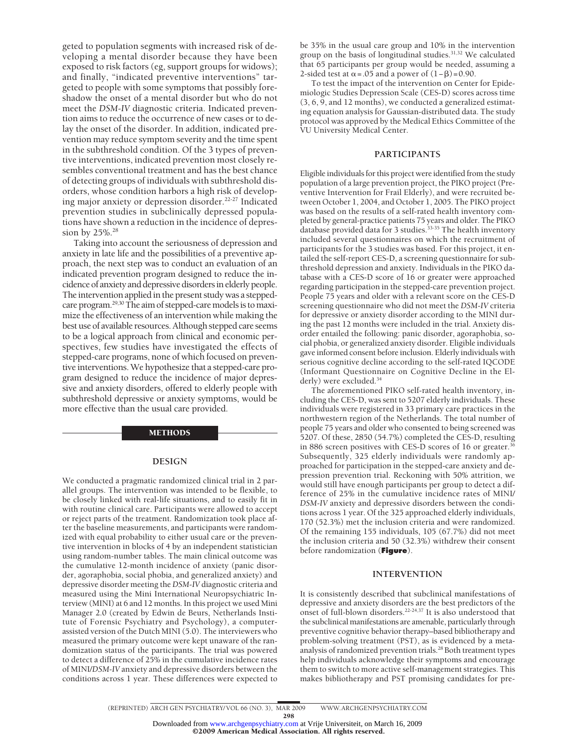geted to population segments with increased risk of developing a mental disorder because they have been exposed to risk factors (eg, support groups for widows); and finally, "indicated preventive interventions" targeted to people with some symptoms that possibly foreshadow the onset of a mental disorder but who do not meet the *DSM-IV* diagnostic criteria. Indicated prevention aims to reduce the occurrence of new cases or to delay the onset of the disorder. In addition, indicated prevention may reduce symptom severity and the time spent in the subthreshold condition. Of the 3 types of preventive interventions, indicated prevention most closely resembles conventional treatment and has the best chance of detecting groups of individuals with subthreshold disorders, whose condition harbors a high risk of developing major anxiety or depression disorder.22-27 Indicated prevention studies in subclinically depressed populations have shown a reduction in the incidence of depression by 25%.<sup>28</sup>

Taking into account the seriousness of depression and anxiety in late life and the possibilities of a preventive approach, the next step was to conduct an evaluation of an indicated prevention program designed to reduce the incidence of anxiety and depressive disorders in elderly people. The intervention applied in the present study was a steppedcare program.<sup>29,30</sup>The aim of stepped-care models is to maximize the effectiveness of an intervention while making the best use of available resources. Although stepped care seems to be a logical approach from clinical and economic perspectives, few studies have investigated the effects of stepped-care programs, none of which focused on preventive interventions. We hypothesize that a stepped-care program designed to reduce the incidence of major depressive and anxiety disorders, offered to elderly people with subthreshold depressive or anxiety symptoms, would be more effective than the usual care provided.

#### METHODS

#### **DESIGN**

We conducted a pragmatic randomized clinical trial in 2 parallel groups. The intervention was intended to be flexible, to be closely linked with real-life situations, and to easily fit in with routine clinical care. Participants were allowed to accept or reject parts of the treatment. Randomization took place after the baseline measurements, and participants were randomized with equal probability to either usual care or the preventive intervention in blocks of 4 by an independent statistician using random-number tables. The main clinical outcome was the cumulative 12-month incidence of anxiety (panic disorder, agoraphobia, social phobia, and generalized anxiety) and depressive disorder meeting the *DSM-IV* diagnostic criteria and measured using the Mini International Neuropsychiatric Interview (MINI) at 6 and 12 months. In this project we used Mini Manager 2.0 (created by Edwin de Beurs, Netherlands Institute of Forensic Psychiatry and Psychology), a computerassisted version of the Dutch MINI (5.0). The interviewers who measured the primary outcome were kept unaware of the randomization status of the participants. The trial was powered to detect a difference of 25% in the cumulative incidence rates of MINI/*DSM-IV* anxiety and depressive disorders between the conditions across 1 year. These differences were expected to be 35% in the usual care group and 10% in the intervention group on the basis of longitudinal studies.31,32 We calculated that 65 participants per group would be needed, assuming a 2-sided test at  $\alpha$  = .05 and a power of  $(1 - \beta)$  = 0.90.

To test the impact of the intervention on Center for Epidemiologic Studies Depression Scale (CES-D) scores across time (3, 6, 9, and 12 months), we conducted a generalized estimating equation analysis for Gaussian-distributed data. The study protocol was approved by the Medical Ethics Committee of the VU University Medical Center.

## **PARTICIPANTS**

Eligible individuals for this project were identified from the study population of a large prevention project, the PIKO project (Preventive Intervention for Frail Elderly), and were recruited between October 1, 2004, and October 1, 2005. The PIKO project was based on the results of a self-rated health inventory completed by general-practice patients 75 years and older. The PIKO database provided data for 3 studies.<sup>33-35</sup> The health inventory included several questionnaires on which the recruitment of participants for the 3 studies was based. For this project, it entailed the self-report CES-D, a screening questionnaire for subthreshold depression and anxiety. Individuals in the PIKO database with a CES-D score of 16 or greater were approached regarding participation in the stepped-care prevention project. People 75 years and older with a relevant score on the CES-D screening questionnaire who did not meet the *DSM-IV* criteria for depressive or anxiety disorder according to the MINI during the past 12 months were included in the trial. Anxiety disorder entailed the following: panic disorder, agoraphobia, social phobia, or generalized anxiety disorder. Eligible individuals gave informed consent before inclusion. Elderly individuals with serious cognitive decline according to the self-rated IQCODE (Informant Questionnaire on Cognitive Decline in the Elderly) were excluded.34

The aforementioned PIKO self-rated health inventory, including the CES-D, was sent to 5207 elderly individuals. These individuals were registered in 33 primary care practices in the northwestern region of the Netherlands. The total number of people 75 years and older who consented to being screened was 5207. Of these, 2850 (54.7%) completed the CES-D, resulting in 886 screen positives with CES-D scores of 16 or greater. $36$ Subsequently, 325 elderly individuals were randomly approached for participation in the stepped-care anxiety and depression prevention trial. Reckoning with 50% attrition, we would still have enough participants per group to detect a difference of 25% in the cumulative incidence rates of MINI/ *DSM-IV* anxiety and depressive disorders between the conditions across 1 year. Of the 325 approached elderly individuals, 170 (52.3%) met the inclusion criteria and were randomized. Of the remaining 155 individuals, 105 (67.7%) did not meet the inclusion criteria and 50 (32.3%) withdrew their consent before randomization (**Figure**).

## **INTERVENTION**

It is consistently described that subclinical manifestations of depressive and anxiety disorders are the best predictors of the onset of full-blown disorders.22-24,37 It is also understood that the subclinical manifestations are amenable, particularly through preventive cognitive behavior therapy–based bibliotherapy and problem-solving treatment (PST), as is evidenced by a metaanalysis of randomized prevention trials.<sup>28</sup> Both treatment types help individuals acknowledge their symptoms and encourage them to switch to more active self-management strategies. This makes bibliotherapy and PST promising candidates for pre-

298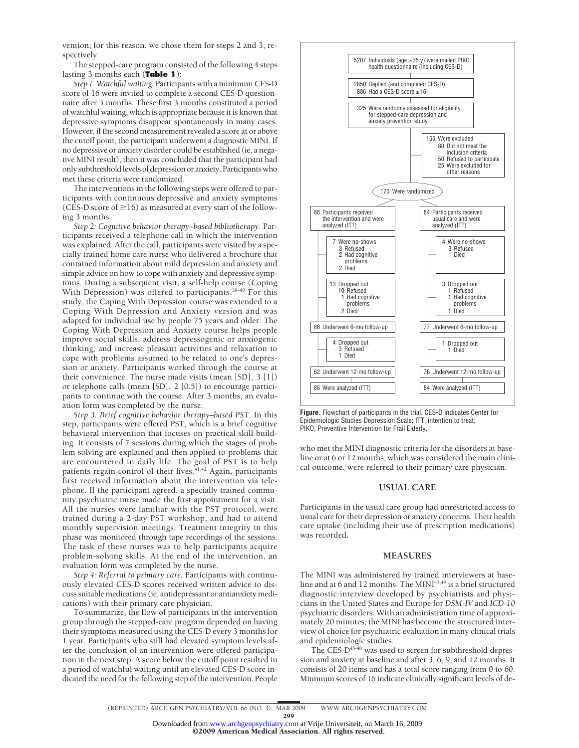vention; for this reason, we chose them for steps 2 and 3, respectively.

The stepped-care program consisted of the following 4 steps lasting 3 months each (**Table 1**):

*Step 1: Watchful waiting.* Participants with a minimum CES-D score of 16 were invited to complete a second CES-D questionnaire after 3 months. These first 3 months constituted a period of watchful waiting, which is appropriate because it is known that depressive symptoms disappear spontaneously in many cases. However, if the second measurement revealed a score at or above the cutoff point, the participant underwent a diagnostic MINI. If no depressive or anxiety disorder could be established (ie, a negative MINI result), then it was concluded that the participant had only subthreshold levels of depression or anxiety. Participants who met these criteria were randomized.

The interventions in the following steps were offered to participants with continuous depressive and anxiety symptoms (CES-D score of  $\geq$ 16) as measured at every start of the following 3 months.

*Step 2: Cognitive behavior therapy–based bibliotherapy.* Participants received a telephone call in which the intervention was explained. After the call, participants were visited by a specially trained home care nurse who delivered a brochure that contained information about mild depression and anxiety and simple advice on how to cope with anxiety and depressive symptoms. During a subsequent visit, a self-help course (Coping With Depression) was offered to participants.<sup>38-40</sup> For this study, the Coping With Depression course was extended to a Coping With Depression and Anxiety version and was adapted for individual use by people 75 years and older. The Coping With Depression and Anxiety course helps people improve social skills, address depressogenic or anxiogenic thinking, and increase pleasant activities and relaxation to cope with problems assumed to be related to one's depression or anxiety. Participants worked through the course at their convenience. The nurse made visits (mean [SD], 3 [1]) or telephone calls (mean [SD], 2 [0.5]) to encourage participants to continue with the course. After 3 months, an evaluation form was completed by the nurse.

*Step 3: Brief cognitive behavior therapy–based PST.* In this step, participants were offered PST, which is a brief cognitive behavioral intervention that focuses on practical skill building. It consists of 7 sessions during which the stages of problem solving are explained and then applied to problems that are encountered in daily life. The goal of PST is to help patients regain control of their lives. $41,42$  Again, participants first received information about the intervention via telephone. If the participant agreed, a specially trained community psychiatric nurse made the first appointment for a visit. All the nurses were familiar with the PST protocol, were trained during a 2-day PST workshop, and had to attend monthly supervision meetings. Treatment integrity in this phase was monitored through tape recordings of the sessions. The task of these nurses was to help participants acquire problem-solving skills. At the end of the intervention, an evaluation form was completed by the nurse.

*Step 4: Referral to primary care.* Participants with continuously elevated CES-D scores received written advice to discuss suitable medications (ie, antidepressant or antianxiety medications) with their primary care physician.

To summarize, the flow of participants in the intervention group through the stepped-care program depended on having their symptoms measured using the CES-D every 3 months for 1 year. Participants who still had elevated symptom levels after the conclusion of an intervention were offered participation in the next step. A score below the cutoff point resulted in a period of watchful waiting until an elevated CES-D score indicated the need for the following step of the intervention. People



**Figure.** Flowchart of participants in the trial. CES-D indicates Center for Epidemiologic Studies Depression Scale; ITT, intention to treat; PIKO, Preventive Intervention for Frail Elderly.

who met the MINI diagnostic criteria for the disorders at baseline or at 6 or 12 months, which was considered the main clinical outcome, were referred to their primary care physician.

### **USUAL CARE**

Participants in the usual care group had unrestricted access to usual care for their depression or anxiety concerns. Their health care uptake (including their use of prescription medications) was recorded.

## **MEASURES**

The MINI was administered by trained interviewers at baseline and at 6 and 12 months. The MINI<sup>43,44</sup> is a brief structured diagnostic interview developed by psychiatrists and physicians in the United States and Europe for *DSM-IV* and *ICD-10* psychiatric disorders. With an administration time of approximately 20 minutes, the MINI has become the structured interview of choice for psychiatric evaluation in many clinical trials and epidemiologic studies.

The CES-D<sup>45-48</sup> was used to screen for subthreshold depression and anxiety at baseline and after 3, 6, 9, and 12 months. It consists of 20 items and has a total score ranging from 0 to 60. Minimum scores of 16 indicate clinically significant levels of de-

299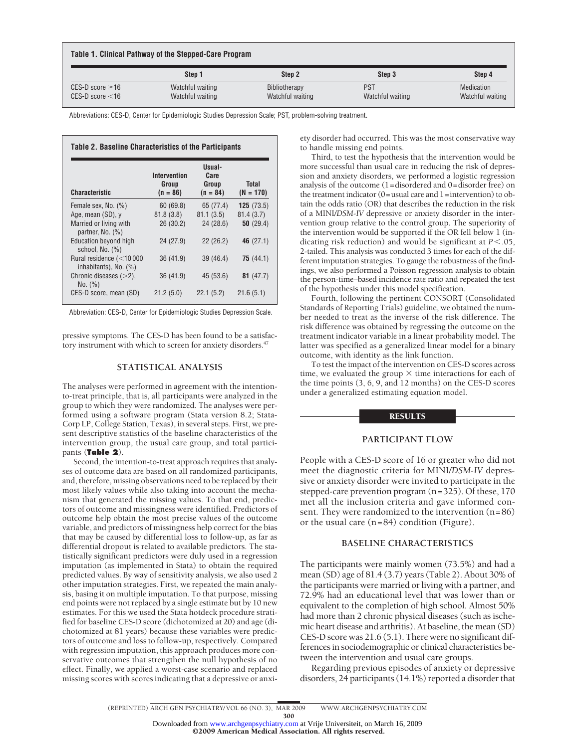| Table 1. Clinical Pathway of the Stepped-Care Program |                                      |                                   |                                |                                |  |  |  |
|-------------------------------------------------------|--------------------------------------|-----------------------------------|--------------------------------|--------------------------------|--|--|--|
|                                                       | Step 1                               | Step 2                            | Step 3                         | Step 4                         |  |  |  |
| CES-D score $\geq 16$<br>$CES-D score < 16$           | Watchful waiting<br>Watchful waiting | Bibliotherapy<br>Watchful waiting | <b>PST</b><br>Watchful waiting | Medication<br>Watchful waiting |  |  |  |

Abbreviations: CES-D, Center for Epidemiologic Studies Depression Scale; PST, problem-solving treatment.

| <b>Characteristic</b>                              | <b>Intervention</b><br>Group<br>$(n = 86)$ | Usual-<br>Care<br>Group<br>$(n = 84)$ | <b>Total</b><br>$(N = 170)$ |
|----------------------------------------------------|--------------------------------------------|---------------------------------------|-----------------------------|
| Female sex, No. (%)                                | 60(69.8)                                   | 65 (77.4)                             | 125(73.5)                   |
| Age, mean (SD), y                                  | 81.8(3.8)                                  | 81.1(3.5)                             | 81.4(3.7)                   |
| Married or living with<br>partner, $No.$ $(\%)$    | 26(30.2)                                   | 24(28.6)                              | 50(29.4)                    |
| Education beyond high<br>school, No. $(\%)$        | 24 (27.9)                                  | 22(26.2)                              | 46 $(27.1)$                 |
| Rural residence $(<10000$<br>inhabitants), No. (%) | 36(41.9)                                   | 39(46.4)                              | 75(44.1)                    |
| Chronic diseases $(>=2)$ ,<br>No. (%)              | 36 (41.9)                                  | 45 (53.6)                             | 81 $(47.7)$                 |
| CES-D score, mean (SD)                             | 21.2(5.0)                                  | 22.1(5.2)                             | 21.6(5.1)                   |

Abbreviation: CES-D, Center for Epidemiologic Studies Depression Scale.

pressive symptoms. The CES-D has been found to be a satisfactory instrument with which to screen for anxiety disorders.<sup>47</sup>

## **STATISTICAL ANALYSIS**

The analyses were performed in agreement with the intentionto-treat principle, that is, all participants were analyzed in the group to which they were randomized. The analyses were performed using a software program (Stata version 8.2; Stata-Corp LP, College Station, Texas), in several steps. First, we present descriptive statistics of the baseline characteristics of the intervention group, the usual care group, and total participants (**Table 2**).

Second, the intention-to-treat approach requires that analyses of outcome data are based on all randomized participants, and, therefore, missing observations need to be replaced by their most likely values while also taking into account the mechanism that generated the missing values. To that end, predictors of outcome and missingness were identified. Predictors of outcome help obtain the most precise values of the outcome variable, and predictors of missingness help correct for the bias that may be caused by differential loss to follow-up, as far as differential dropout is related to available predictors. The statistically significant predictors were duly used in a regression imputation (as implemented in Stata) to obtain the required predicted values. By way of sensitivity analysis, we also used 2 other imputation strategies. First, we repeated the main analysis, basing it on multiple imputation. To that purpose, missing end points were not replaced by a single estimate but by 10 new estimates. For this we used the Stata hotdeck procedure stratified for baseline CES-D score (dichotomized at 20) and age (dichotomized at 81 years) because these variables were predictors of outcome and loss to follow-up, respectively. Compared with regression imputation, this approach produces more conservative outcomes that strengthen the null hypothesis of no effect. Finally, we applied a worst-case scenario and replaced missing scores with scores indicating that a depressive or anxiety disorder had occurred. This was the most conservative way to handle missing end points.

Third, to test the hypothesis that the intervention would be more successful than usual care in reducing the risk of depression and anxiety disorders, we performed a logistic regression analysis of the outcome (1=disordered and 0=disorder free) on the treatment indicator ( $0 =$ usual care and  $1 =$ intervention) to obtain the odds ratio (OR) that describes the reduction in the risk of a MINI/*DSM-IV* depressive or anxiety disorder in the intervention group relative to the control group. The superiority of the intervention would be supported if the OR fell below 1 (indicating risk reduction) and would be significant at  $P \leq 0.05$ , 2-tailed. This analysis was conducted 3 times for each of the different imputation strategies. To gauge the robustness of the findings, we also performed a Poisson regression analysis to obtain the person-time–based incidence rate ratio and repeated the test of the hypothesis under this model specification.

Fourth, following the pertinent CONSORT (Consolidated Standards of Reporting Trials) guideline, we obtained the number needed to treat as the inverse of the risk difference. The risk difference was obtained by regressing the outcome on the treatment indicator variable in a linear probability model. The latter was specified as a generalized linear model for a binary outcome, with identity as the link function.

To test the impact of the intervention on CES-D scores across time, we evaluated the group  $\times$  time interactions for each of the time points (3, 6, 9, and 12 months) on the CES-D scores under a generalized estimating equation model.

## RESULTS

## **PARTICIPANT FLOW**

People with a CES-D score of 16 or greater who did not meet the diagnostic criteria for MINI/*DSM-IV* depressive or anxiety disorder were invited to participate in the stepped-care prevention program (n=325). Of these, 170 met all the inclusion criteria and gave informed consent. They were randomized to the intervention (n=86) or the usual care (n=84) condition (Figure).

## **BASELINE CHARACTERISTICS**

The participants were mainly women (73.5%) and had a mean (SD) age of 81.4 (3.7) years (Table 2). About 30% of the participants were married or living with a partner, and 72.9% had an educational level that was lower than or equivalent to the completion of high school. Almost 50% had more than 2 chronic physical diseases (such as ischemic heart disease and arthritis). At baseline, the mean (SD) CES-D score was 21.6 (5.1). There were no significant differences in sociodemographic or clinical characteristics between the intervention and usual care groups.

Regarding previous episodes of anxiety or depressive disorders, 24 participants (14.1%) reported a disorder that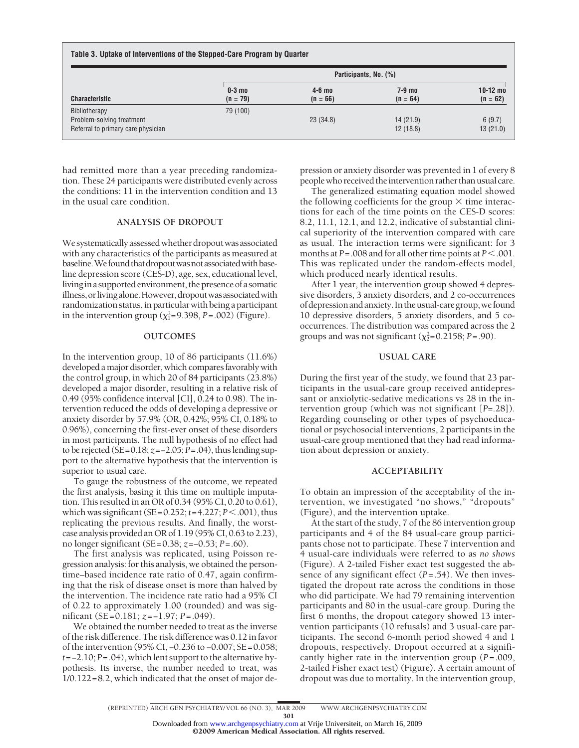| Table 3. Uptake of Interventions of the Stepped-Care Program by Quarter          |                        |                        |                        |                          |  |  |  |  |
|----------------------------------------------------------------------------------|------------------------|------------------------|------------------------|--------------------------|--|--|--|--|
|                                                                                  | Participants, No. (%)  |                        |                        |                          |  |  |  |  |
| <b>Characteristic</b>                                                            | $0-3$ mo<br>$(n = 79)$ | $4-6$ mo<br>$(n = 66)$ | $7-9$ mo<br>$(n = 64)$ | $10-12$ mo<br>$(n = 62)$ |  |  |  |  |
| Bibliotherapy<br>Problem-solving treatment<br>Referral to primary care physician | 79 (100)               | 23(34.8)               | 14(21.9)<br>12(18.8)   | 6(9.7)<br>13(21.0)       |  |  |  |  |

had remitted more than a year preceding randomization. These 24 participants were distributed evenly across the conditions: 11 in the intervention condition and 13 in the usual care condition.

## **ANALYSIS OF DROPOUT**

We systematically assessed whether dropout was associated with any characteristics of the participants as measured at baseline. We found that dropout was not associated with baseline depression score (CES-D), age, sex, educational level, living in a supported environment, the presence of a somatic illness, or living alone. However, dropout was associated with randomization status, in particular with being a participant in the intervention group  $(\chi_1^2=9.398, P=.002)$  (Figure).

## **OUTCOMES**

In the intervention group, 10 of 86 participants (11.6%) developed a major disorder, which compares favorably with the control group, in which 20 of 84 participants (23.8%) developed a major disorder, resulting in a relative risk of 0.49 (95% confidence interval [CI], 0.24 to 0.98). The intervention reduced the odds of developing a depressive or anxiety disorder by 57.9% (OR, 0.42%; 95% CI, 0.18% to 0.96%), concerning the first-ever onset of these disorders in most participants. The null hypothesis of no effect had to be rejected (SE=0.18; *z*=−2.05; *P*=.04), thus lending support to the alternative hypothesis that the intervention is superior to usual care.

To gauge the robustness of the outcome, we repeated the first analysis, basing it this time on multiple imputation. This resulted in an OR of 0.34 (95% CI, 0.20 to 0.61), which was significant (SE=0.252;  $t=4.227$ ;  $P$  < .001), thus replicating the previous results. And finally, the worstcase analysis provided an OR of 1.19 (95% CI, 0.63 to 2.23), no longer significant (SE=0.38; *z*=−0.53; *P*=.60).

The first analysis was replicated, using Poisson regression analysis: for this analysis, we obtained the persontime–based incidence rate ratio of 0.47, again confirming that the risk of disease onset is more than halved by the intervention. The incidence rate ratio had a 95% CI of 0.22 to approximately 1.00 (rounded) and was significant (SE=0.181; *z*=−1.97; *P*=.049).

We obtained the number needed to treat as the inverse of the risk difference. The risk difference was 0.12 in favor of the intervention (95% CI, −0.236 to −0.007; SE=0.058; *t*=−2.10; *P*=.04), which lent support to the alternative hypothesis. Its inverse, the number needed to treat, was 1/0.122=8.2, which indicated that the onset of major depression or anxiety disorder was prevented in 1 of every 8 people who received the intervention rather than usual care.

The generalized estimating equation model showed the following coefficients for the group  $\times$  time interactions for each of the time points on the CES-D scores: 8.2, 11.1, 12.1, and 12.2, indicative of substantial clinical superiority of the intervention compared with care as usual. The interaction terms were significant: for 3 months at  $P = .008$  and for all other time points at  $P < .001$ . This was replicated under the random-effects model, which produced nearly identical results.

After 1 year, the intervention group showed 4 depressive disorders, 3 anxiety disorders, and 2 co-occurrences of depression and anxiety. In the usual-care group, we found 10 depressive disorders, 5 anxiety disorders, and 5 cooccurrences. The distribution was compared across the 2 groups and was not significant  $(\chi^2 = 0.2158; P = .90)$ .

## **USUAL CARE**

During the first year of the study, we found that 23 participants in the usual-care group received antidepressant or anxiolytic-sedative medications vs 28 in the intervention group (which was not significant [*P*=.28]). Regarding counseling or other types of psychoeducational or psychosocial interventions, 2 participants in the usual-care group mentioned that they had read information about depression or anxiety.

## **ACCEPTABILITY**

To obtain an impression of the acceptability of the intervention, we investigated "no shows," "dropouts" (Figure), and the intervention uptake.

At the start of the study, 7 of the 86 intervention group participants and 4 of the 84 usual-care group participants chose not to participate. These 7 intervention and 4 usual-care individuals were referred to as *no shows* (Figure). A 2-tailed Fisher exact test suggested the absence of any significant effect (*P*=.54). We then investigated the dropout rate across the conditions in those who did participate. We had 79 remaining intervention participants and 80 in the usual-care group. During the first 6 months, the dropout category showed 13 intervention participants (10 refusals) and 3 usual-care participants. The second 6-month period showed 4 and 1 dropouts, respectively. Dropout occurred at a significantly higher rate in the intervention group (*P*=.009, 2-tailed Fisher exact test) (Figure). A certain amount of dropout was due to mortality. In the intervention group,

301

<sup>(</sup>REPRINTED) ARCH GEN PSYCHIATRY/ VOL 66 (NO. 3), MAR 2009 WWW.ARCHGENPSYCHIATRY.COM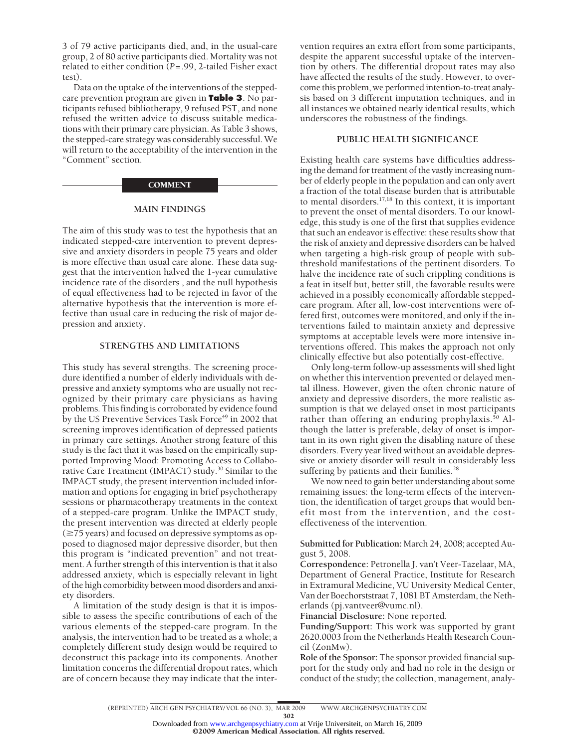3 of 79 active participants died, and, in the usual-care group, 2 of 80 active participants died. Mortality was not related to either condition (*P*=.99, 2-tailed Fisher exact test).

Data on the uptake of the interventions of the steppedcare prevention program are given in **Table 3**. No participants refused bibliotherapy, 9 refused PST, and none refused the written advice to discuss suitable medications with their primary care physician. As Table 3 shows, the stepped-care strategy was considerably successful. We will return to the acceptability of the intervention in the "Comment" section.

#### **COMMENT**

### **MAIN FINDINGS**

The aim of this study was to test the hypothesis that an indicated stepped-care intervention to prevent depressive and anxiety disorders in people 75 years and older is more effective than usual care alone. These data suggest that the intervention halved the 1-year cumulative incidence rate of the disorders , and the null hypothesis of equal effectiveness had to be rejected in favor of the alternative hypothesis that the intervention is more effective than usual care in reducing the risk of major depression and anxiety.

## **STRENGTHS AND LIMITATIONS**

This study has several strengths. The screening procedure identified a number of elderly individuals with depressive and anxiety symptoms who are usually not recognized by their primary care physicians as having problems. This finding is corroborated by evidence found by the US Preventive Services Task Force<sup>49</sup> in 2002 that screening improves identification of depressed patients in primary care settings. Another strong feature of this study is the fact that it was based on the empirically supported Improving Mood: Promoting Access to Collaborative Care Treatment (IMPACT) study.<sup>30</sup> Similar to the IMPACT study, the present intervention included information and options for engaging in brief psychotherapy sessions or pharmacotherapy treatments in the context of a stepped-care program. Unlike the IMPACT study, the present intervention was directed at elderly people  $(\geq 75$  years) and focused on depressive symptoms as opposed to diagnosed major depressive disorder, but then this program is "indicated prevention" and not treatment. A further strength of this intervention is that it also addressed anxiety, which is especially relevant in light of the high comorbidity between mood disorders and anxiety disorders.

A limitation of the study design is that it is impossible to assess the specific contributions of each of the various elements of the stepped-care program. In the analysis, the intervention had to be treated as a whole; a completely different study design would be required to deconstruct this package into its components. Another limitation concerns the differential dropout rates, which are of concern because they may indicate that the intervention requires an extra effort from some participants, despite the apparent successful uptake of the intervention by others. The differential dropout rates may also have affected the results of the study. However, to overcome this problem, we performed intention-to-treat analysis based on 3 different imputation techniques, and in all instances we obtained nearly identical results, which underscores the robustness of the findings.

## **PUBLIC HEALTH SIGNIFICANCE**

Existing health care systems have difficulties addressing the demand for treatment of the vastly increasing number of elderly people in the population and can only avert a fraction of the total disease burden that is attributable to mental disorders.17,18 In this context, it is important to prevent the onset of mental disorders. To our knowledge, this study is one of the first that supplies evidence that such an endeavor is effective: these results show that the risk of anxiety and depressive disorders can be halved when targeting a high-risk group of people with subthreshold manifestations of the pertinent disorders. To halve the incidence rate of such crippling conditions is a feat in itself but, better still, the favorable results were achieved in a possibly economically affordable steppedcare program. After all, low-cost interventions were offered first, outcomes were monitored, and only if the interventions failed to maintain anxiety and depressive symptoms at acceptable levels were more intensive interventions offered. This makes the approach not only clinically effective but also potentially cost-effective.

Only long-term follow-up assessments will shed light on whether this intervention prevented or delayed mental illness. However, given the often chronic nature of anxiety and depressive disorders, the more realistic assumption is that we delayed onset in most participants rather than offering an enduring prophylaxis.<sup>50</sup> Although the latter is preferable, delay of onset is important in its own right given the disabling nature of these disorders. Every year lived without an avoidable depressive or anxiety disorder will result in considerably less suffering by patients and their families.<sup>28</sup>

We now need to gain better understanding about some remaining issues: the long-term effects of the intervention, the identification of target groups that would benefit most from the intervention, and the costeffectiveness of the intervention.

**Submitted for Publication:** March 24, 2008; accepted August 5, 2008.

**Correspondence:** Petronella J. van't Veer-Tazelaar, MA, Department of General Practice, Institute for Research in Extramural Medicine, VU University Medical Center, Van der Boechorststraat 7, 1081 BT Amsterdam, the Netherlands (pj.vantveer@vumc.nl).

**Financial Disclosure:** None reported.

**Funding/Support:** This work was supported by grant 2620.0003 from the Netherlands Health Research Council (ZonMw).

**Role of the Sponsor:** The sponsor provided financial support for the study only and had no role in the design or conduct of the study; the collection, management, analy-

302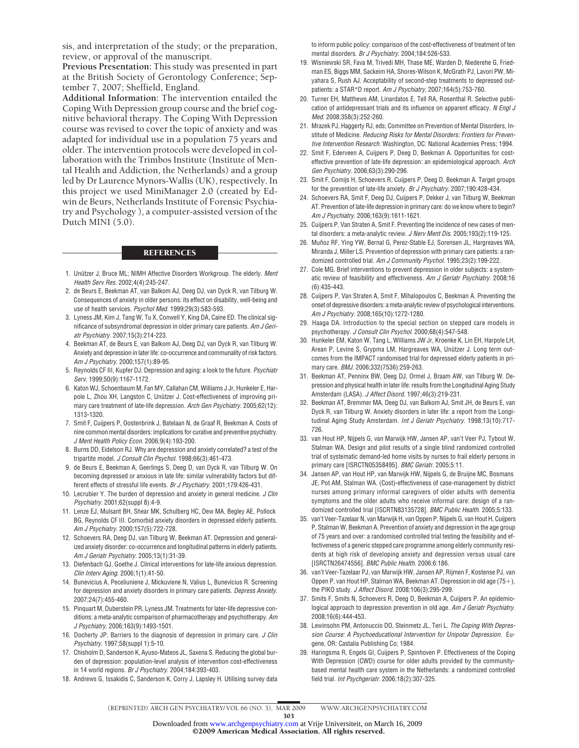sis, and interpretation of the study; or the preparation, review, or approval of the manuscript.

**Previous Presentation:** This study was presented in part at the British Society of Gerontology Conference; September 7, 2007; Sheffield, England.

**Additional Information:** The intervention entailed the Coping With Depression group course and the brief cognitive behavioral therapy. The Coping With Depression course was revised to cover the topic of anxiety and was adapted for individual use in a population 75 years and older. The intervention protocols were developed in collaboration with the Trimbos Institute (Institute of Mental Health and Addiction, the Netherlands) and a group led by Dr Laurence Mynors-Wallis (UK), respectively. In this project we used MiniManager 2.0 (created by Edwin de Beurs, Netherlands Institute of Forensic Psychiatry and Psychology ), a computer-assisted version of the Dutch MINI (5.0).

#### **REFERENCES**

- 1. Unützer J, Bruce ML; NIMH Affective Disorders Workgroup. The elderly. *Ment Health Serv Res*. 2002;4(4):245-247.
- 2. de Beurs E, Beekman AT, van Balkom AJ, Deeg DJ, van Dyck R, van Tilburg W. Consequences of anxiety in older persons: its effect on disability, well-being and use of health services. *Psychol Med*. 1999;29(3):583-593.
- 3. Lyness JM, Kim J, Tang W, Tu X, Conwell Y, King DA, Caine ED. The clinical significance of subsyndromal depression in older primary care patients. *Am J Geriatr Psychiatry*. 2007;15(3):214-223.
- 4. Beekman AT, de Beurs E, van Balkom AJ, Deeg DJ, van Dyck R, van Tilburg W. Anxiety and depression in later life: co-occurrence and communality of risk factors. *Am J Psychiatry*. 2000;157(1):89-95.
- 5. Reynolds CF III, Kupfer DJ. Depression and aging: a look to the future. *Psychiatr Serv*. 1999;50(9):1167-1172.
- 6. Katon WJ, Schoenbaum M, Fan MY, Callahan CM, Williams J Jr, Hunkeler E, Harpole L, Zhou XH, Langston C, Unützer J. Cost-effectiveness of improving primary care treatment of late-life depression. *Arch Gen Psychiatry*. 2005;62(12): 1313-1320.
- 7. Smit F, Cuijpers P, Oostenbrink J, Batelaan N, de Graaf R, Beekman A. Costs of nine common mental disorders: implications for curative and preventive psychiatry. *J Ment Health Policy Econ*. 2006;9(4):193-200.
- 8. Burns DD, Eidelson RJ. Why are depression and anxiety correlated? a test of the tripartite model. *J Consult Clin Psychol*. 1998;66(3):461-473.
- 9. de Beurs E, Beekman A, Geerlings S, Deeg D, van Dyck R, van Tilburg W. On becoming depressed or anxious in late life: similar vulnerability factors but different effects of stressful life events. *Br J Psychiatry*. 2001;179:426-431.
- 10. Lecrubier Y. The burden of depression and anxiety in general medicine. *J Clin Psychiatry*. 2001;62(suppl 8):4-9.
- 11. Lenze EJ, Mulsant BH, Shear MK, Schulberg HC, Dew MA, Begley AE, Pollock BG, Reynolds CF III. Comorbid anxiety disorders in depressed elderly patients. *Am J Psychiatry*. 2000;157(5):722-728.
- 12. Schoevers RA, Deeg DJ, van Tilburg W, Beekman AT. Depression and generalized anxiety disorder: co-occurrence and longitudinal patterns in elderly patients. *Am J Geriatr Psychiatry*. 2005;13(1):31-39.
- 13. Diefenbach GJ, Goethe J. Clinical interventions for late-life anxious depression. *Clin Interv Aging*. 2006;1(1):41-50.
- 14. Bunevicius A, Peceliuniene J, Mickuviene N, Valius L, Bunevicius R. Screening for depression and anxiety disorders in primary care patients. *Depress Anxiety*. 2007;24(7):455-460.
- 15. Pinquart M, Duberstein PR, Lyness JM. Treatments for later-life depressive conditions: a meta-analytic comparison of pharmacotherapy and psychotherapy. *Am J Psychiatry*. 2006;163(9):1493-1501.
- 16. Docherty JP. Barriers to the diagnosis of depression in primary care. *J Clin Psychiatry*. 1997;58(suppl 1):5-10.
- 17. Chisholm D, Sanderson K, Ayuso-Mateos JL, Saxena S. Reducing the global burden of depression: population-level analysis of intervention cost-effectiveness in 14 world regions. *Br J Psychiatry*. 2004;184:393-403.
- 18. Andrews G, Issakidis C, Sanderson K, Corry J, Lapsley H. Utilising survey data

to inform public policy: comparison of the cost-effectiveness of treatment of ten mental disorders. *Br J Psychiatry*. 2004;184:526-533.

- 19. Wisniewski SR, Fava M, Trivedi MH, Thase ME, Warden D, Niederehe G, Friedman ES, Biggs MM, Sackeim HA, Shores-Wilson K, McGrath PJ, Lavori PW, Miyahara S, Rush AJ. Acceptability of second-step treatments to depressed outpatients: a STAR\*D report. *Am J Psychiatry*. 2007;164(5):753-760.
- 20. Turner EH, Matthews AM, Linardatos E, Tell RA, Rosenthal R. Selective publication of antidepressant trials and its influence on apparent efficacy. *N Engl J Med*. 2008;358(3):252-260.
- 21. Mrazek PJ, Haggerty RJ, eds; Committee on Prevention of Mental Disorders, Institute of Medicine. *Reducing Risks for Mental Disorders: Frontiers for Preventive Intervention Research.* Washington, DC: National Academies Press; 1994.
- 22. Smit F, Ederveen A, Cuijpers P, Deeg D, Beekman A. Opportunities for costeffective prevention of late-life depression: an epidemiological approach. *Arch Gen Psychiatry*. 2006;63(3):290-296.
- 23. Smit F, Comijs H, Schoevers R, Cuijpers P, Deeg D, Beekman A. Target groups for the prevention of late-life anxiety. *Br J Psychiatry*. 2007;190:428-434.
- 24. Schoevers RA, Smit F, Deeg DJ, Cuijpers P, Dekker J, van Tilburg W, Beekman AT. Prevention of late-life depression in primary care: do we know where to begin? *Am J Psychiatry*. 2006;163(9):1611-1621.
- 25. Cuijpers P, Van Straten A, Smit F. Preventing the incidence of new cases of mental disorders: a meta-analytic review. *J Nerv Ment Dis*. 2005;193(2):119-125.
- 26. Muñoz RF, Ying YW, Bernal G, Perez-Stable EJ, Sorensen JL, Hargreaves WA, Miranda J, Miller LS. Prevention of depression with primary care patients: a randomized controlled trial. *Am J Community Psychol*. 1995;23(2):199-222.
- 27. Cole MG. Brief interventions to prevent depression in older subjects: a systematic review of feasibility and effectiveness. *Am J Geriatr Psychiatry*. 2008;16 (6):435-443.
- 28. Cuijpers P, Van Straten A, Smit F, Mihalopoulos C, Beekman A. Preventing the onset of depressive disorders: a meta-analytic review of psychological interventions. *Am J Psychiatry*. 2008;165(10):1272-1280.
- 29. Haaga DA. Introduction to the special section on stepped care models in psychotherapy. *J Consult Clin Psychol*. 2000;68(4):547-548.
- 30. Hunkeler EM, Katon W, Tang L, Williams JW Jr, Kroenke K, Lin EH, Harpole LH, Arean P, Levine S, Grypma LM, Hargreaves WA, Unützer J. Long term outcomes from the IMPACT randomised trial for depressed elderly patients in primary care. *BMJ*. 2006;332(7536):259-263.
- 31. Beekman AT, Penninx BW, Deeg DJ, Ormel J, Braam AW, van Tilburg W. Depression and physical health in later life: results from the Longitudinal Aging Study Amsterdam (LASA). *J Affect Disord*. 1997;46(3):219-231.
- 32. Beekman AT, Bremmer MA, Deeg DJ, van Balkom AJ, Smit JH, de Beurs E, van Dyck R, van Tilburg W. Anxiety disorders in later life: a report from the Longitudinal Aging Study Amsterdam. *Int J Geriatr Psychiatry*. 1998;13(10):717- 726.
- 33. van Hout HP, Nijpels G, van Marwijk HW, Jansen AP, van't Veer PJ, Tybout W, Stalman WA. Design and pilot results of a single blind randomized controlled trial of systematic demand-led home visits by nurses to frail elderly persons in primary care [ISRCTN05358495]. *BMC Geriatr*. 2005;5:11.
- 34. Jansen AP, van Hout HP, van Marwijk HW, Nijpels G, de Bruijne MC, Bosmans JE, Pot AM, Stalman WA. (Cost)-effectiveness of case-management by district nurses among primary informal caregivers of older adults with dementia symptoms and the older adults who receive informal care: design of a randomized controlled trial [ISCRTN83135728]. *BMC Public Health*. 2005;5:133.
- 35. van't Veer-Tazelaar N, van Marwijk H, van Oppen P, Nijpels G, van Hout H, Cuijpers P, Stalman W, Beekman A. Prevention of anxiety and depression in the age group of 75 years and over: a randomised controlled trial testing the feasibility and effectiveness of a generic stepped care programme among elderly community residents at high risk of developing anxiety and depression versus usual care [ISRCTN26474556]. *BMC Public Health*. 2006;6:186.
- 36. van't Veer-Tazelaar PJ, van Marwijk HW, Jansen AP, Rijmen F, Kostense PJ, van Oppen P, van Hout HP, Stalman WA, Beekman AT. Depression in old age  $(75+)$ , the PIKO study. *J Affect Disord*. 2008;106(3):295-299.
- 37. Smits F, Smits N, Schoevers R, Deeg D, Beekman A, Cuijpers P. An epidemiological approach to depression prevention in old age. *Am J Geriatr Psychiatry*. 2008;16(6):444-453.
- 38. Lewinsohn PM, Antonuccio DO, Steinmetz JL, Teri L. *The Coping With Depression Course: A Psychoeducational Intervention for Unipolar Depression.* Eugene, OR: Castalia Publishing Co; 1984.
- 39. Haringsma R, Engels GI, Cuijpers P, Spinhoven P. Effectiveness of the Coping With Depression (CWD) course for older adults provided by the communitybased mental health care system in the Netherlands: a randomized controlled field trial. *Int Psychgeriatr*. 2006;18(2):307-325.

(REPRINTED) ARCH GEN PSYCHIATRY/ VOL 66 (NO. 3), MAR 2009 WWW.ARCHGENPSYCHIATRY.COM